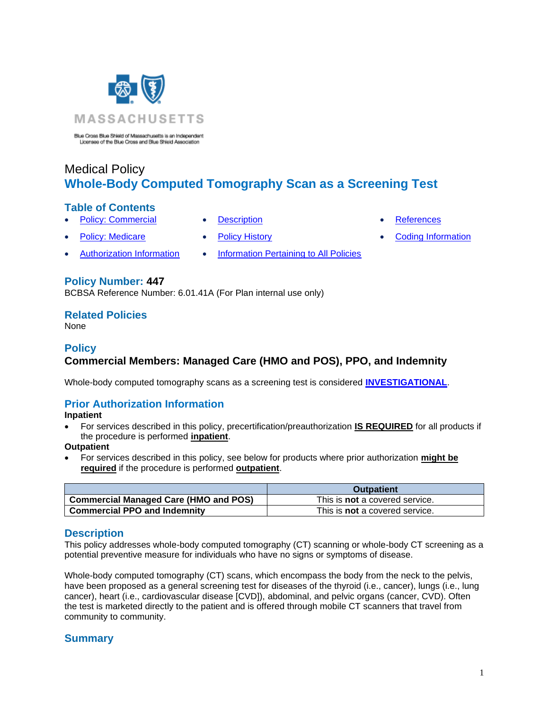

Blue Cross Blue Shield of Massachusetts is an Independent<br>Licenses of the Blue Cross and Blue Shield Association

# Medical Policy **Whole-Body Computed Tomography Scan as a Screening Test**

#### **Table of Contents**

- **[Policy: Commercial](#page-0-0) [Description](#page-0-1) Commercial [References](#page-2-0)** 
	-
- 
- [Authorization Information](#page-0-2) [Information Pertaining to All Policies](#page-2-1)
- 
- 
- Policy: Medicare [Policy History](#page-1-0) [Coding Information](#page-3-0)

#### **Policy Number: 447**

BCBSA Reference Number: 6.01.41A (For Plan internal use only)

#### **Related Policies**

<span id="page-0-0"></span>None

#### **Policy Commercial Members: Managed Care (HMO and POS), PPO, and Indemnity**

Whole-body computed tomography scans as a screening test is considered **[INVESTIGATIONAL](https://www.bluecrossma.org/medical-policies/sites/g/files/csphws2091/files/acquiadam-assets/Definition%20of%20Med%20Nec%20Inv%20Not%20Med%20Nec%20prn.pdf#page=1)**.

# <span id="page-0-2"></span>**Prior Authorization Information**

**Inpatient**

• For services described in this policy, precertification/preauthorization **IS REQUIRED** for all products if the procedure is performed **inpatient**.

#### **Outpatient**

• For services described in this policy, see below for products where prior authorization **might be required** if the procedure is performed **outpatient**.

|                                              | <b>Outpatient</b>                     |
|----------------------------------------------|---------------------------------------|
| <b>Commercial Managed Care (HMO and POS)</b> | This is <b>not</b> a covered service. |
| <b>Commercial PPO and Indemnity</b>          | This is <b>not</b> a covered service. |

# <span id="page-0-1"></span>**Description**

This policy addresses whole-body computed tomography (CT) scanning or whole-body CT screening as a potential preventive measure for individuals who have no signs or symptoms of disease.

Whole-body computed tomography (CT) scans, which encompass the body from the neck to the pelvis, have been proposed as a general screening test for diseases of the thyroid (i.e., cancer), lungs (i.e., lung cancer), heart (i.e., cardiovascular disease [CVD]), abdominal, and pelvic organs (cancer, CVD). Often the test is marketed directly to the patient and is offered through mobile CT scanners that travel from community to community.

# **Summary**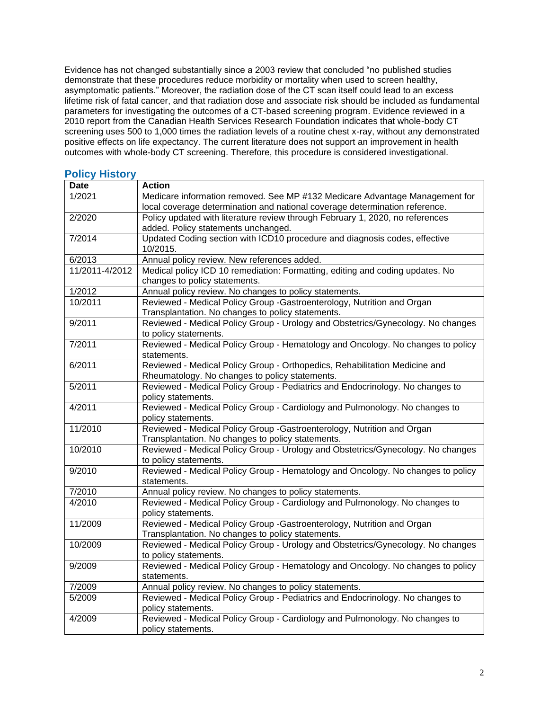Evidence has not changed substantially since a 2003 review that concluded "no published studies demonstrate that these procedures reduce morbidity or mortality when used to screen healthy, asymptomatic patients." Moreover, the radiation dose of the CT scan itself could lead to an excess lifetime risk of fatal cancer, and that radiation dose and associate risk should be included as fundamental parameters for investigating the outcomes of a CT-based screening program. Evidence reviewed in a 2010 report from the Canadian Health Services Research Foundation indicates that whole-body CT screening uses 500 to 1,000 times the radiation levels of a routine chest x-ray, without any demonstrated positive effects on life expectancy. The current literature does not support an improvement in health outcomes with whole-body CT screening. Therefore, this procedure is considered investigational.

# <span id="page-1-0"></span>**Policy History**

| <b>Date</b>    | <b>Action</b>                                                                   |
|----------------|---------------------------------------------------------------------------------|
| 1/2021         | Medicare information removed. See MP #132 Medicare Advantage Management for     |
|                | local coverage determination and national coverage determination reference.     |
| 2/2020         | Policy updated with literature review through February 1, 2020, no references   |
|                | added. Policy statements unchanged.                                             |
| 7/2014         | Updated Coding section with ICD10 procedure and diagnosis codes, effective      |
|                | 10/2015.                                                                        |
| 6/2013         | Annual policy review. New references added.                                     |
| 11/2011-4/2012 | Medical policy ICD 10 remediation: Formatting, editing and coding updates. No   |
|                | changes to policy statements.                                                   |
| 1/2012         | Annual policy review. No changes to policy statements.                          |
| 10/2011        | Reviewed - Medical Policy Group -Gastroenterology, Nutrition and Organ          |
|                | Transplantation. No changes to policy statements.                               |
| 9/2011         | Reviewed - Medical Policy Group - Urology and Obstetrics/Gynecology. No changes |
|                | to policy statements.                                                           |
| 7/2011         | Reviewed - Medical Policy Group - Hematology and Oncology. No changes to policy |
|                | statements.                                                                     |
| 6/2011         | Reviewed - Medical Policy Group - Orthopedics, Rehabilitation Medicine and      |
|                | Rheumatology. No changes to policy statements.                                  |
| 5/2011         | Reviewed - Medical Policy Group - Pediatrics and Endocrinology. No changes to   |
|                | policy statements.                                                              |
| 4/2011         | Reviewed - Medical Policy Group - Cardiology and Pulmonology. No changes to     |
|                | policy statements.                                                              |
| 11/2010        | Reviewed - Medical Policy Group - Gastroenterology, Nutrition and Organ         |
|                | Transplantation. No changes to policy statements.                               |
| 10/2010        | Reviewed - Medical Policy Group - Urology and Obstetrics/Gynecology. No changes |
|                | to policy statements.                                                           |
| 9/2010         | Reviewed - Medical Policy Group - Hematology and Oncology. No changes to policy |
|                | statements.                                                                     |
| 7/2010         | Annual policy review. No changes to policy statements.                          |
| 4/2010         | Reviewed - Medical Policy Group - Cardiology and Pulmonology. No changes to     |
|                | policy statements.                                                              |
| 11/2009        | Reviewed - Medical Policy Group -Gastroenterology, Nutrition and Organ          |
|                | Transplantation. No changes to policy statements.                               |
| 10/2009        | Reviewed - Medical Policy Group - Urology and Obstetrics/Gynecology. No changes |
|                | to policy statements.                                                           |
| 9/2009         | Reviewed - Medical Policy Group - Hematology and Oncology. No changes to policy |
|                | statements.                                                                     |
| 7/2009         | Annual policy review. No changes to policy statements.                          |
| 5/2009         | Reviewed - Medical Policy Group - Pediatrics and Endocrinology. No changes to   |
|                | policy statements.                                                              |
| 4/2009         | Reviewed - Medical Policy Group - Cardiology and Pulmonology. No changes to     |
|                | policy statements.                                                              |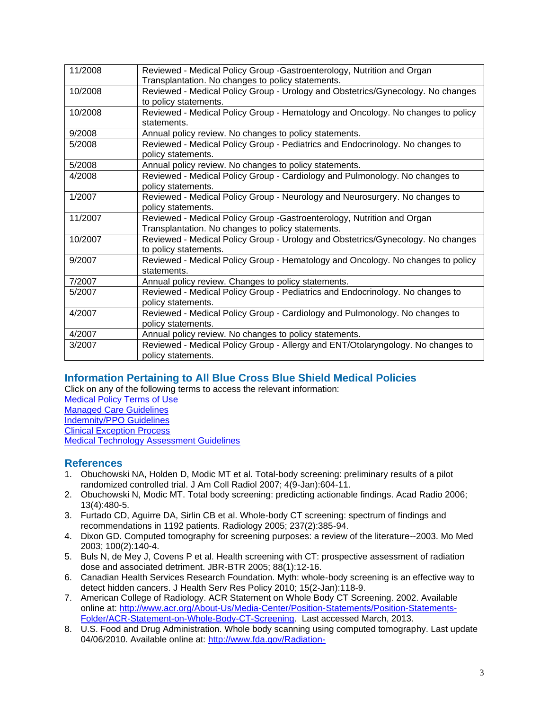| 11/2008 | Reviewed - Medical Policy Group - Gastroenterology, Nutrition and Organ         |
|---------|---------------------------------------------------------------------------------|
|         | Transplantation. No changes to policy statements.                               |
| 10/2008 | Reviewed - Medical Policy Group - Urology and Obstetrics/Gynecology. No changes |
|         | to policy statements.                                                           |
| 10/2008 | Reviewed - Medical Policy Group - Hematology and Oncology. No changes to policy |
|         | statements.                                                                     |
| 9/2008  | Annual policy review. No changes to policy statements.                          |
| 5/2008  | Reviewed - Medical Policy Group - Pediatrics and Endocrinology. No changes to   |
|         | policy statements.                                                              |
| 5/2008  | Annual policy review. No changes to policy statements.                          |
| 4/2008  | Reviewed - Medical Policy Group - Cardiology and Pulmonology. No changes to     |
|         | policy statements.                                                              |
| 1/2007  | Reviewed - Medical Policy Group - Neurology and Neurosurgery. No changes to     |
|         | policy statements.                                                              |
| 11/2007 | Reviewed - Medical Policy Group - Gastroenterology, Nutrition and Organ         |
|         | Transplantation. No changes to policy statements.                               |
| 10/2007 | Reviewed - Medical Policy Group - Urology and Obstetrics/Gynecology. No changes |
|         | to policy statements.                                                           |
| 9/2007  | Reviewed - Medical Policy Group - Hematology and Oncology. No changes to policy |
|         | statements.                                                                     |
| 7/2007  | Annual policy review. Changes to policy statements.                             |
| 5/2007  | Reviewed - Medical Policy Group - Pediatrics and Endocrinology. No changes to   |
|         | policy statements.                                                              |
| 4/2007  | Reviewed - Medical Policy Group - Cardiology and Pulmonology. No changes to     |
|         | policy statements.                                                              |
| 4/2007  | Annual policy review. No changes to policy statements.                          |
| 3/2007  | Reviewed - Medical Policy Group - Allergy and ENT/Otolaryngology. No changes to |
|         | policy statements.                                                              |
|         |                                                                                 |

# <span id="page-2-1"></span>**[Information Pertaining to All Blue Cross Blue Shield Medical Policies](#page-2-1)**

Click on any of the following terms to access the relevant information:

[Medical Policy Terms of Use](http://www.bluecrossma.org/medical-policies/sites/g/files/csphws2091/files/acquiadam-assets/Medical_Policy_Terms_of_Use_prn.pdf) [Managed Care Guidelines](http://www.bluecrossma.org/medical-policies/sites/g/files/csphws2091/files/acquiadam-assets/Managed_Care_Guidelines_prn.pdf) [Indemnity/PPO Guidelines](http://www.bluecrossma.org/medical-policies/sites/g/files/csphws2091/files/acquiadam-assets/Indemnity_and_PPO_Guidelines_prn.pdf) [Clinical Exception Process](http://www.bluecrossma.org/medical-policies/sites/g/files/csphws2091/files/acquiadam-assets/Clinical_Exception_Process_prn.pdf) [Medical Technology Assessment Guidelines](http://www.bluecrossma.org/medical-policies/sites/g/files/csphws2091/files/acquiadam-assets/Medical_Technology_Assessment_Guidelines_prn.pdf)

# <span id="page-2-0"></span>**References**

- 1. Obuchowski NA, Holden D, Modic MT et al. Total-body screening: preliminary results of a pilot randomized controlled trial. J Am Coll Radiol 2007; 4(9-Jan):604-11.
- 2. Obuchowski N, Modic MT. Total body screening: predicting actionable findings. Acad Radio 2006; 13(4):480-5.
- 3. Furtado CD, Aguirre DA, Sirlin CB et al. Whole-body CT screening: spectrum of findings and recommendations in 1192 patients. Radiology 2005; 237(2):385-94.
- 4. Dixon GD. Computed tomography for screening purposes: a review of the literature--2003. Mo Med 2003; 100(2):140-4.
- 5. Buls N, de Mey J, Covens P et al. Health screening with CT: prospective assessment of radiation dose and associated detriment. JBR-BTR 2005; 88(1):12-16.
- 6. Canadian Health Services Research Foundation. Myth: whole-body screening is an effective way to detect hidden cancers. J Health Serv Res Policy 2010; 15(2-Jan):118-9.
- 7. American College of Radiology. ACR Statement on Whole Body CT Screening. 2002. Available online at: [http://www.acr.org/About-Us/Media-Center/Position-Statements/Position-Statements-](http://www.acr.org/About-Us/Media-Center/Position-Statements/Position-Statements-Folder/ACR-Statement-on-Whole-Body-CT-Screening)[Folder/ACR-Statement-on-Whole-Body-CT-Screening.](http://www.acr.org/About-Us/Media-Center/Position-Statements/Position-Statements-Folder/ACR-Statement-on-Whole-Body-CT-Screening) Last accessed March, 2013.
- 8. U.S. Food and Drug Administration. Whole body scanning using computed tomography. Last update 04/06/2010. Available online at: [http://www.fda.gov/Radiation-](http://www.fda.gov/Radiation-EmittingProducts/RadiationEmittingProductsandProcedures/MedicalImaging/MedicalX-Rays/ucm115340.htm)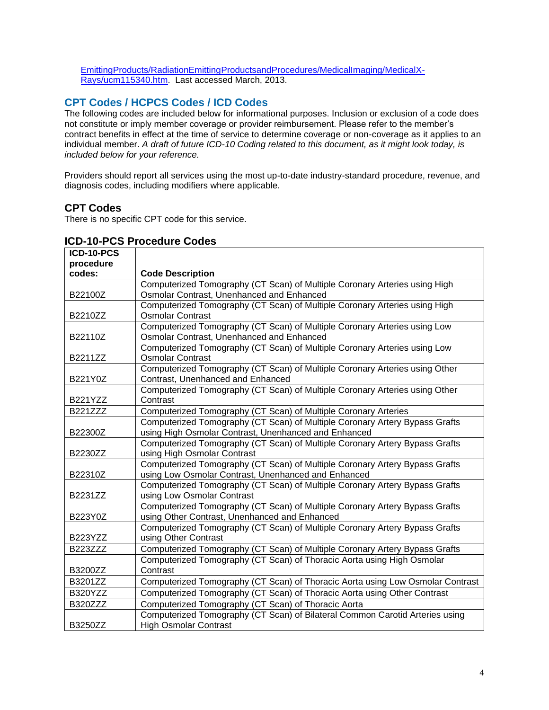[EmittingProducts/RadiationEmittingProductsandProcedures/MedicalImaging/MedicalX-](http://www.fda.gov/Radiation-EmittingProducts/RadiationEmittingProductsandProcedures/MedicalImaging/MedicalX-Rays/ucm115340.htm)[Rays/ucm115340.htm.](http://www.fda.gov/Radiation-EmittingProducts/RadiationEmittingProductsandProcedures/MedicalImaging/MedicalX-Rays/ucm115340.htm) Last accessed March, 2013.

# <span id="page-3-0"></span>**CPT Codes / HCPCS Codes / ICD Codes**

The following codes are included below for informational purposes. Inclusion or exclusion of a code does not constitute or imply member coverage or provider reimbursement. Please refer to the member's contract benefits in effect at the time of service to determine coverage or non-coverage as it applies to an individual member. *A draft of future ICD-10 Coding related to this document, as it might look today, is included below for your reference.*

Providers should report all services using the most up-to-date industry-standard procedure, revenue, and diagnosis codes, including modifiers where applicable.

#### **CPT Codes**

There is no specific CPT code for this service.

| ICD-10-PCS      |                                                                                |
|-----------------|--------------------------------------------------------------------------------|
| procedure       |                                                                                |
| codes:          | <b>Code Description</b>                                                        |
|                 | Computerized Tomography (CT Scan) of Multiple Coronary Arteries using High     |
| B22100Z         | Osmolar Contrast, Unenhanced and Enhanced                                      |
|                 | Computerized Tomography (CT Scan) of Multiple Coronary Arteries using High     |
| B2210ZZ         | <b>Osmolar Contrast</b>                                                        |
|                 | Computerized Tomography (CT Scan) of Multiple Coronary Arteries using Low      |
| B22110Z         | Osmolar Contrast, Unenhanced and Enhanced                                      |
|                 | Computerized Tomography (CT Scan) of Multiple Coronary Arteries using Low      |
| B2211ZZ         | <b>Osmolar Contrast</b>                                                        |
|                 | Computerized Tomography (CT Scan) of Multiple Coronary Arteries using Other    |
| B221Y0Z         | Contrast, Unenhanced and Enhanced                                              |
|                 | Computerized Tomography (CT Scan) of Multiple Coronary Arteries using Other    |
| <b>B221YZZ</b>  | Contrast                                                                       |
| <b>B221ZZZ</b>  | Computerized Tomography (CT Scan) of Multiple Coronary Arteries                |
|                 | Computerized Tomography (CT Scan) of Multiple Coronary Artery Bypass Grafts    |
| B22300Z         | using High Osmolar Contrast, Unenhanced and Enhanced                           |
|                 | Computerized Tomography (CT Scan) of Multiple Coronary Artery Bypass Grafts    |
| B2230ZZ         | using High Osmolar Contrast                                                    |
|                 | Computerized Tomography (CT Scan) of Multiple Coronary Artery Bypass Grafts    |
| B22310Z         | using Low Osmolar Contrast, Unenhanced and Enhanced                            |
|                 | Computerized Tomography (CT Scan) of Multiple Coronary Artery Bypass Grafts    |
| B2231ZZ         | using Low Osmolar Contrast                                                     |
|                 | Computerized Tomography (CT Scan) of Multiple Coronary Artery Bypass Grafts    |
| B223Y0Z         | using Other Contrast, Unenhanced and Enhanced                                  |
|                 | Computerized Tomography (CT Scan) of Multiple Coronary Artery Bypass Grafts    |
| B223YZZ         | using Other Contrast                                                           |
| <b>B223ZZZZ</b> | Computerized Tomography (CT Scan) of Multiple Coronary Artery Bypass Grafts    |
|                 | Computerized Tomography (CT Scan) of Thoracic Aorta using High Osmolar         |
| B3200ZZ         | Contrast                                                                       |
| B3201ZZ         | Computerized Tomography (CT Scan) of Thoracic Aorta using Low Osmolar Contrast |
| B320YZZ         | Computerized Tomography (CT Scan) of Thoracic Aorta using Other Contrast       |
| <b>B320ZZZ</b>  | Computerized Tomography (CT Scan) of Thoracic Aorta                            |
|                 | Computerized Tomography (CT Scan) of Bilateral Common Carotid Arteries using   |
| B3250ZZ         | <b>High Osmolar Contrast</b>                                                   |

#### **ICD-10-PCS Procedure Codes**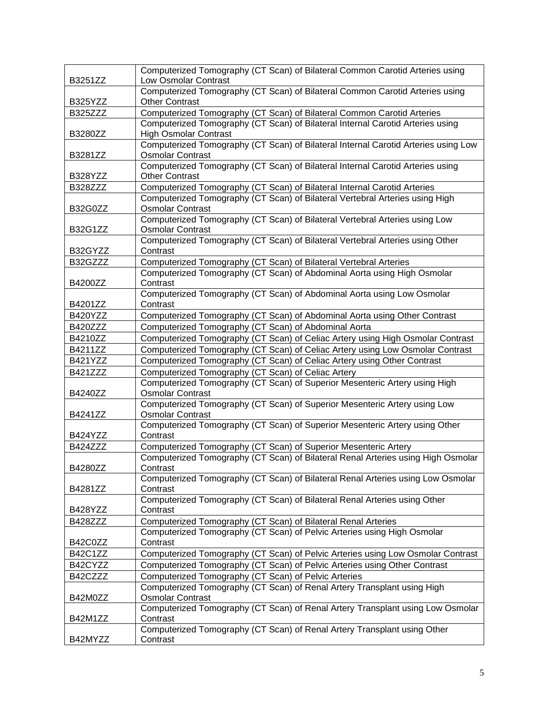| B3251ZZ        | Computerized Tomography (CT Scan) of Bilateral Common Carotid Arteries using<br>Low Osmolar Contrast                                                |
|----------------|-----------------------------------------------------------------------------------------------------------------------------------------------------|
|                | Computerized Tomography (CT Scan) of Bilateral Common Carotid Arteries using                                                                        |
| B325YZZ        | Other Contrast                                                                                                                                      |
| <b>B325ZZZ</b> | Computerized Tomography (CT Scan) of Bilateral Common Carotid Arteries                                                                              |
|                | Computerized Tomography (CT Scan) of Bilateral Internal Carotid Arteries using                                                                      |
| B3280ZZ        | <b>High Osmolar Contrast</b>                                                                                                                        |
| B3281ZZ        | Computerized Tomography (CT Scan) of Bilateral Internal Carotid Arteries using Low<br><b>Osmolar Contrast</b>                                       |
|                | Computerized Tomography (CT Scan) of Bilateral Internal Carotid Arteries using                                                                      |
| B328YZZ        | <b>Other Contrast</b>                                                                                                                               |
| B328ZZZ        | Computerized Tomography (CT Scan) of Bilateral Internal Carotid Arteries                                                                            |
|                | Computerized Tomography (CT Scan) of Bilateral Vertebral Arteries using High                                                                        |
| B32G0ZZ        | <b>Osmolar Contrast</b>                                                                                                                             |
| B32G1ZZ        | Computerized Tomography (CT Scan) of Bilateral Vertebral Arteries using Low<br><b>Osmolar Contrast</b>                                              |
|                | Computerized Tomography (CT Scan) of Bilateral Vertebral Arteries using Other                                                                       |
| B32GYZZ        | Contrast                                                                                                                                            |
| B32GZZZ        | Computerized Tomography (CT Scan) of Bilateral Vertebral Arteries                                                                                   |
|                | Computerized Tomography (CT Scan) of Abdominal Aorta using High Osmolar                                                                             |
| B4200ZZ        | Contrast                                                                                                                                            |
|                | Computerized Tomography (CT Scan) of Abdominal Aorta using Low Osmolar                                                                              |
| B4201ZZ        | Contrast                                                                                                                                            |
| B420YZZ        | Computerized Tomography (CT Scan) of Abdominal Aorta using Other Contrast                                                                           |
| <b>B420ZZZ</b> | Computerized Tomography (CT Scan) of Abdominal Aorta                                                                                                |
| B4210ZZ        | Computerized Tomography (CT Scan) of Celiac Artery using High Osmolar Contrast                                                                      |
| B4211ZZ        | Computerized Tomography (CT Scan) of Celiac Artery using Low Osmolar Contrast                                                                       |
| <b>B421YZZ</b> | Computerized Tomography (CT Scan) of Celiac Artery using Other Contrast                                                                             |
| <b>B421ZZZ</b> | Computerized Tomography (CT Scan) of Celiac Artery                                                                                                  |
| B4240ZZ        | Computerized Tomography (CT Scan) of Superior Mesenteric Artery using High<br><b>Osmolar Contrast</b>                                               |
|                | Computerized Tomography (CT Scan) of Superior Mesenteric Artery using Low                                                                           |
| B4241ZZ        | <b>Osmolar Contrast</b>                                                                                                                             |
|                | Computerized Tomography (CT Scan) of Superior Mesenteric Artery using Other                                                                         |
| B424YZZ        | Contrast                                                                                                                                            |
| <b>B424ZZZ</b> | Computerized Tomography (CT Scan) of Superior Mesenteric Artery<br>Computerized Tomography (CT Scan) of Bilateral Renal Arteries using High Osmolar |
| B4280ZZ        | Contrast                                                                                                                                            |
|                | Computerized Tomography (CT Scan) of Bilateral Renal Arteries using Low Osmolar                                                                     |
| B4281ZZ        | Contrast                                                                                                                                            |
|                | Computerized Tomography (CT Scan) of Bilateral Renal Arteries using Other                                                                           |
| B428YZZ        | Contrast                                                                                                                                            |
| <b>B428ZZZ</b> | Computerized Tomography (CT Scan) of Bilateral Renal Arteries                                                                                       |
|                | Computerized Tomography (CT Scan) of Pelvic Arteries using High Osmolar                                                                             |
| B42C0ZZ        | Contrast                                                                                                                                            |
| B42C1ZZ        | Computerized Tomography (CT Scan) of Pelvic Arteries using Low Osmolar Contrast                                                                     |
| B42CYZZ        | Computerized Tomography (CT Scan) of Pelvic Arteries using Other Contrast                                                                           |
| B42CZZZ        | Computerized Tomography (CT Scan) of Pelvic Arteries                                                                                                |
|                | Computerized Tomography (CT Scan) of Renal Artery Transplant using High                                                                             |
| B42M0ZZ        | <b>Osmolar Contrast</b><br>Computerized Tomography (CT Scan) of Renal Artery Transplant using Low Osmolar                                           |
| B42M1ZZ        | Contrast                                                                                                                                            |
|                | Computerized Tomography (CT Scan) of Renal Artery Transplant using Other                                                                            |
| B42MYZZ        | Contrast                                                                                                                                            |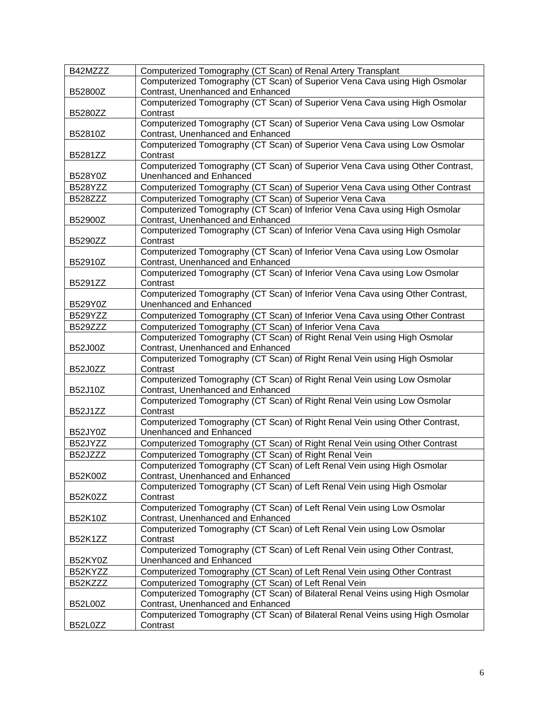| B42MZZZ        | Computerized Tomography (CT Scan) of Renal Artery Transplant                  |
|----------------|-------------------------------------------------------------------------------|
|                | Computerized Tomography (CT Scan) of Superior Vena Cava using High Osmolar    |
| B52800Z        | Contrast, Unenhanced and Enhanced                                             |
|                |                                                                               |
|                | Computerized Tomography (CT Scan) of Superior Vena Cava using High Osmolar    |
| B5280ZZ        | Contrast                                                                      |
|                | Computerized Tomography (CT Scan) of Superior Vena Cava using Low Osmolar     |
| B52810Z        | Contrast, Unenhanced and Enhanced                                             |
|                | Computerized Tomography (CT Scan) of Superior Vena Cava using Low Osmolar     |
| B5281ZZ        | Contrast                                                                      |
|                | Computerized Tomography (CT Scan) of Superior Vena Cava using Other Contrast, |
| B528Y0Z        | Unenhanced and Enhanced                                                       |
| B528YZZ        | Computerized Tomography (CT Scan) of Superior Vena Cava using Other Contrast  |
| <b>B528ZZZ</b> |                                                                               |
|                | Computerized Tomography (CT Scan) of Superior Vena Cava                       |
|                | Computerized Tomography (CT Scan) of Inferior Vena Cava using High Osmolar    |
| B52900Z        | Contrast, Unenhanced and Enhanced                                             |
|                | Computerized Tomography (CT Scan) of Inferior Vena Cava using High Osmolar    |
| B5290ZZ        | Contrast                                                                      |
|                | Computerized Tomography (CT Scan) of Inferior Vena Cava using Low Osmolar     |
| B52910Z        | Contrast, Unenhanced and Enhanced                                             |
|                | Computerized Tomography (CT Scan) of Inferior Vena Cava using Low Osmolar     |
| B5291ZZ        | Contrast                                                                      |
|                | Computerized Tomography (CT Scan) of Inferior Vena Cava using Other Contrast, |
| B529Y0Z        | Unenhanced and Enhanced                                                       |
|                |                                                                               |
| B529YZZ        | Computerized Tomography (CT Scan) of Inferior Vena Cava using Other Contrast  |
| <b>B529ZZZ</b> | Computerized Tomography (CT Scan) of Inferior Vena Cava                       |
|                | Computerized Tomography (CT Scan) of Right Renal Vein using High Osmolar      |
| B52J00Z        | Contrast, Unenhanced and Enhanced                                             |
|                | Computerized Tomography (CT Scan) of Right Renal Vein using High Osmolar      |
| B52J0ZZ        | Contrast                                                                      |
|                | Computerized Tomography (CT Scan) of Right Renal Vein using Low Osmolar       |
| B52J10Z        | Contrast, Unenhanced and Enhanced                                             |
|                | Computerized Tomography (CT Scan) of Right Renal Vein using Low Osmolar       |
| <b>B52J1ZZ</b> | Contrast                                                                      |
|                | Computerized Tomography (CT Scan) of Right Renal Vein using Other Contrast,   |
| B52JY0Z        | Unenhanced and Enhanced                                                       |
|                |                                                                               |
| B52JYZZ        | Computerized Tomography (CT Scan) of Right Renal Vein using Other Contrast    |
| B52JZZZ        | Computerized Tomography (CT Scan) of Right Renal Vein                         |
|                | Computerized Tomography (CT Scan) of Left Renal Vein using High Osmolar       |
| B52K00Z        | Contrast, Unenhanced and Enhanced                                             |
|                | Computerized Tomography (CT Scan) of Left Renal Vein using High Osmolar       |
| B52K0ZZ        | Contrast                                                                      |
|                | Computerized Tomography (CT Scan) of Left Renal Vein using Low Osmolar        |
| B52K10Z        | Contrast, Unenhanced and Enhanced                                             |
|                | Computerized Tomography (CT Scan) of Left Renal Vein using Low Osmolar        |
| <b>B52K1ZZ</b> | Contrast                                                                      |
|                | Computerized Tomography (CT Scan) of Left Renal Vein using Other Contrast,    |
|                |                                                                               |
| B52KY0Z        | Unenhanced and Enhanced                                                       |
| B52KYZZ        | Computerized Tomography (CT Scan) of Left Renal Vein using Other Contrast     |
| B52KZZZ        | Computerized Tomography (CT Scan) of Left Renal Vein                          |
|                | Computerized Tomography (CT Scan) of Bilateral Renal Veins using High Osmolar |
| <b>B52L00Z</b> | Contrast, Unenhanced and Enhanced                                             |
|                | Computerized Tomography (CT Scan) of Bilateral Renal Veins using High Osmolar |
| B52L0ZZ        | Contrast                                                                      |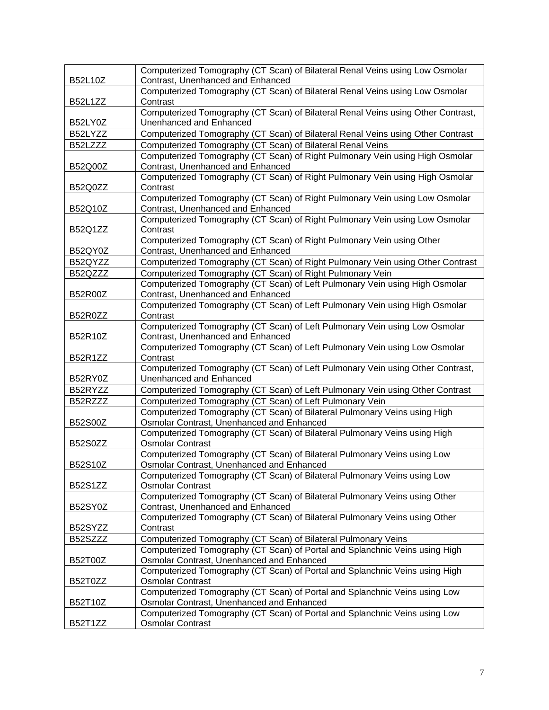| <b>B52L10Z</b> | Computerized Tomography (CT Scan) of Bilateral Renal Veins using Low Osmolar<br>Contrast, Unenhanced and Enhanced       |
|----------------|-------------------------------------------------------------------------------------------------------------------------|
| <b>B52L1ZZ</b> | Computerized Tomography (CT Scan) of Bilateral Renal Veins using Low Osmolar<br>Contrast                                |
| B52LY0Z        | Computerized Tomography (CT Scan) of Bilateral Renal Veins using Other Contrast,<br>Unenhanced and Enhanced             |
| B52LYZZ        | Computerized Tomography (CT Scan) of Bilateral Renal Veins using Other Contrast                                         |
| B52LZZZ        | Computerized Tomography (CT Scan) of Bilateral Renal Veins                                                              |
| B52Q00Z        | Computerized Tomography (CT Scan) of Right Pulmonary Vein using High Osmolar<br>Contrast, Unenhanced and Enhanced       |
|                | Computerized Tomography (CT Scan) of Right Pulmonary Vein using High Osmolar                                            |
| B52Q0ZZ        | Contrast                                                                                                                |
| B52Q10Z        | Computerized Tomography (CT Scan) of Right Pulmonary Vein using Low Osmolar<br>Contrast, Unenhanced and Enhanced        |
| B52Q1ZZ        | Computerized Tomography (CT Scan) of Right Pulmonary Vein using Low Osmolar<br>Contrast                                 |
| B52QY0Z        | Computerized Tomography (CT Scan) of Right Pulmonary Vein using Other<br>Contrast, Unenhanced and Enhanced              |
| B52QYZZ        | Computerized Tomography (CT Scan) of Right Pulmonary Vein using Other Contrast                                          |
| B52QZZZ        | Computerized Tomography (CT Scan) of Right Pulmonary Vein                                                               |
| B52R00Z        | Computerized Tomography (CT Scan) of Left Pulmonary Vein using High Osmolar<br>Contrast, Unenhanced and Enhanced        |
| B52R0ZZ        | Computerized Tomography (CT Scan) of Left Pulmonary Vein using High Osmolar<br>Contrast                                 |
| B52R10Z        | Computerized Tomography (CT Scan) of Left Pulmonary Vein using Low Osmolar<br>Contrast, Unenhanced and Enhanced         |
| B52R1ZZ        | Computerized Tomography (CT Scan) of Left Pulmonary Vein using Low Osmolar<br>Contrast                                  |
| B52RY0Z        | Computerized Tomography (CT Scan) of Left Pulmonary Vein using Other Contrast,<br>Unenhanced and Enhanced               |
| B52RYZZ        | Computerized Tomography (CT Scan) of Left Pulmonary Vein using Other Contrast                                           |
| B52RZZZ        | Computerized Tomography (CT Scan) of Left Pulmonary Vein                                                                |
| B52S00Z        | Computerized Tomography (CT Scan) of Bilateral Pulmonary Veins using High<br>Osmolar Contrast, Unenhanced and Enhanced  |
| <b>B52S0ZZ</b> | Computerized Tomography (CT Scan) of Bilateral Pulmonary Veins using High<br><b>Osmolar Contrast</b>                    |
|                | Computerized Tomography (CT Scan) of Bilateral Pulmonary Veins using Low                                                |
| B52S10Z        | Osmolar Contrast, Unenhanced and Enhanced                                                                               |
| <b>B52S1ZZ</b> | Computerized Tomography (CT Scan) of Bilateral Pulmonary Veins using Low<br><b>Osmolar Contrast</b>                     |
| B52SY0Z        | Computerized Tomography (CT Scan) of Bilateral Pulmonary Veins using Other<br>Contrast, Unenhanced and Enhanced         |
| B52SYZZ        | Computerized Tomography (CT Scan) of Bilateral Pulmonary Veins using Other<br>Contrast                                  |
| B52SZZZ        | Computerized Tomography (CT Scan) of Bilateral Pulmonary Veins                                                          |
|                | Computerized Tomography (CT Scan) of Portal and Splanchnic Veins using High                                             |
| B52T00Z        | Osmolar Contrast, Unenhanced and Enhanced                                                                               |
|                | Computerized Tomography (CT Scan) of Portal and Splanchnic Veins using High                                             |
| B52T0ZZ        | <b>Osmolar Contrast</b>                                                                                                 |
| B52T10Z        | Computerized Tomography (CT Scan) of Portal and Splanchnic Veins using Low<br>Osmolar Contrast, Unenhanced and Enhanced |
|                | Computerized Tomography (CT Scan) of Portal and Splanchnic Veins using Low                                              |
| B52T1ZZ        | <b>Osmolar Contrast</b>                                                                                                 |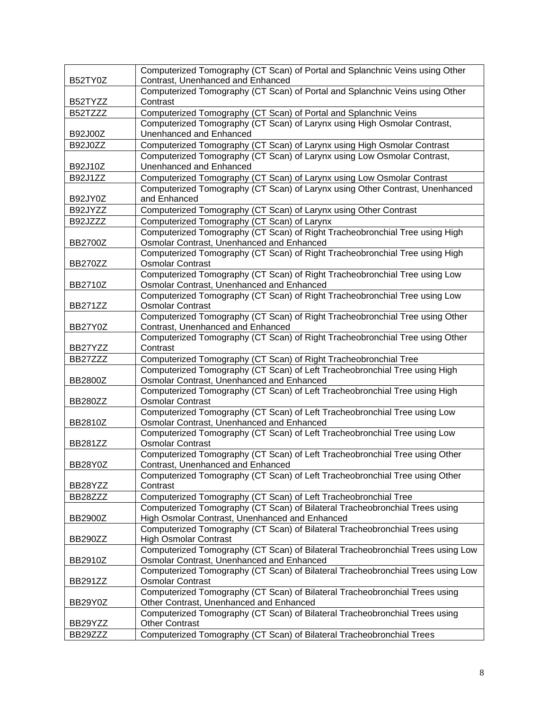| B52TY0Z        | Computerized Tomography (CT Scan) of Portal and Splanchnic Veins using Other<br>Contrast, Unenhanced and Enhanced             |
|----------------|-------------------------------------------------------------------------------------------------------------------------------|
| B52TYZZ        | Computerized Tomography (CT Scan) of Portal and Splanchnic Veins using Other<br>Contrast                                      |
| B52TZZZ        | Computerized Tomography (CT Scan) of Portal and Splanchnic Veins                                                              |
| B92J00Z        | Computerized Tomography (CT Scan) of Larynx using High Osmolar Contrast,<br><b>Unenhanced and Enhanced</b>                    |
| <b>B92J0ZZ</b> | Computerized Tomography (CT Scan) of Larynx using High Osmolar Contrast                                                       |
|                | Computerized Tomography (CT Scan) of Larynx using Low Osmolar Contrast,                                                       |
| B92J10Z        | <b>Unenhanced and Enhanced</b>                                                                                                |
| <b>B92J1ZZ</b> | Computerized Tomography (CT Scan) of Larynx using Low Osmolar Contrast                                                        |
| B92JY0Z        | Computerized Tomography (CT Scan) of Larynx using Other Contrast, Unenhanced<br>and Enhanced                                  |
| B92JYZZ        | Computerized Tomography (CT Scan) of Larynx using Other Contrast                                                              |
| B92JZZZ        | Computerized Tomography (CT Scan) of Larynx                                                                                   |
|                | Computerized Tomography (CT Scan) of Right Tracheobronchial Tree using High                                                   |
| <b>BB2700Z</b> | Osmolar Contrast, Unenhanced and Enhanced                                                                                     |
|                | Computerized Tomography (CT Scan) of Right Tracheobronchial Tree using High                                                   |
| BB270ZZ        | <b>Osmolar Contrast</b>                                                                                                       |
| BB2710Z        | Computerized Tomography (CT Scan) of Right Tracheobronchial Tree using Low<br>Osmolar Contrast, Unenhanced and Enhanced       |
|                | Computerized Tomography (CT Scan) of Right Tracheobronchial Tree using Low                                                    |
| BB271ZZ        | <b>Osmolar Contrast</b>                                                                                                       |
|                | Computerized Tomography (CT Scan) of Right Tracheobronchial Tree using Other                                                  |
| BB27Y0Z        | Contrast, Unenhanced and Enhanced                                                                                             |
| BB27YZZ        | Computerized Tomography (CT Scan) of Right Tracheobronchial Tree using Other<br>Contrast                                      |
| BB27ZZZ        | Computerized Tomography (CT Scan) of Right Tracheobronchial Tree                                                              |
|                | Computerized Tomography (CT Scan) of Left Tracheobronchial Tree using High                                                    |
| BB2800Z        | Osmolar Contrast, Unenhanced and Enhanced                                                                                     |
| BB280ZZ        | Computerized Tomography (CT Scan) of Left Tracheobronchial Tree using High<br><b>Osmolar Contrast</b>                         |
|                | Computerized Tomography (CT Scan) of Left Tracheobronchial Tree using Low                                                     |
| BB2810Z        | Osmolar Contrast, Unenhanced and Enhanced                                                                                     |
|                | Computerized Tomography (CT Scan) of Left Tracheobronchial Tree using Low                                                     |
| <b>BB281ZZ</b> | <b>Osmolar Contrast</b>                                                                                                       |
| BB28Y0Z        | Computerized Tomography (CT Scan) of Left Tracheobronchial Tree using Other<br>Contrast, Unenhanced and Enhanced              |
|                | Computerized Tomography (CT Scan) of Left Tracheobronchial Tree using Other                                                   |
| BB28YZZ        | Contrast                                                                                                                      |
| BB28ZZZ        | Computerized Tomography (CT Scan) of Left Tracheobronchial Tree                                                               |
|                | Computerized Tomography (CT Scan) of Bilateral Tracheobronchial Trees using<br>High Osmolar Contrast, Unenhanced and Enhanced |
| <b>BB2900Z</b> | Computerized Tomography (CT Scan) of Bilateral Tracheobronchial Trees using                                                   |
| BB290ZZ        | <b>High Osmolar Contrast</b>                                                                                                  |
| <b>BB2910Z</b> | Computerized Tomography (CT Scan) of Bilateral Tracheobronchial Trees using Low<br>Osmolar Contrast, Unenhanced and Enhanced  |
|                | Computerized Tomography (CT Scan) of Bilateral Tracheobronchial Trees using Low                                               |
| <b>BB291ZZ</b> | <b>Osmolar Contrast</b>                                                                                                       |
|                | Computerized Tomography (CT Scan) of Bilateral Tracheobronchial Trees using                                                   |
| BB29Y0Z        | Other Contrast, Unenhanced and Enhanced                                                                                       |
|                | Computerized Tomography (CT Scan) of Bilateral Tracheobronchial Trees using                                                   |
| BB29YZZ        | <b>Other Contrast</b>                                                                                                         |
| BB29ZZZ        | Computerized Tomography (CT Scan) of Bilateral Tracheobronchial Trees                                                         |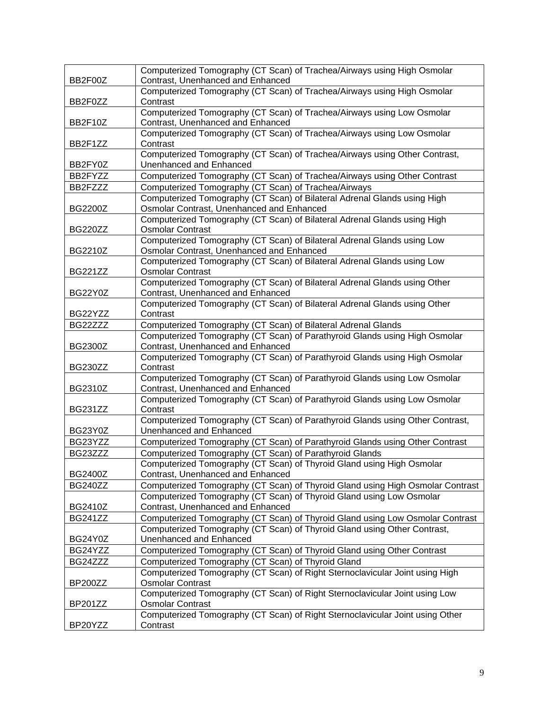| BB2F00Z        | Computerized Tomography (CT Scan) of Trachea/Airways using High Osmolar<br>Contrast, Unenhanced and Enhanced         |
|----------------|----------------------------------------------------------------------------------------------------------------------|
| BB2F0ZZ        | Computerized Tomography (CT Scan) of Trachea/Airways using High Osmolar<br>Contrast                                  |
| BB2F10Z        | Computerized Tomography (CT Scan) of Trachea/Airways using Low Osmolar<br>Contrast, Unenhanced and Enhanced          |
| BB2F1ZZ        | Computerized Tomography (CT Scan) of Trachea/Airways using Low Osmolar<br>Contrast                                   |
| BB2FY0Z        | Computerized Tomography (CT Scan) of Trachea/Airways using Other Contrast,<br>Unenhanced and Enhanced                |
| BB2FYZZ        | Computerized Tomography (CT Scan) of Trachea/Airways using Other Contrast                                            |
| BB2FZZZ        | Computerized Tomography (CT Scan) of Trachea/Airways                                                                 |
|                | Computerized Tomography (CT Scan) of Bilateral Adrenal Glands using High                                             |
| BG2200Z        | Osmolar Contrast, Unenhanced and Enhanced                                                                            |
| <b>BG220ZZ</b> | Computerized Tomography (CT Scan) of Bilateral Adrenal Glands using High<br><b>Osmolar Contrast</b>                  |
| BG2210Z        | Computerized Tomography (CT Scan) of Bilateral Adrenal Glands using Low<br>Osmolar Contrast, Unenhanced and Enhanced |
| <b>BG221ZZ</b> | Computerized Tomography (CT Scan) of Bilateral Adrenal Glands using Low<br><b>Osmolar Contrast</b>                   |
| BG22Y0Z        | Computerized Tomography (CT Scan) of Bilateral Adrenal Glands using Other<br>Contrast, Unenhanced and Enhanced       |
| BG22YZZ        | Computerized Tomography (CT Scan) of Bilateral Adrenal Glands using Other<br>Contrast                                |
| BG22ZZZ        | Computerized Tomography (CT Scan) of Bilateral Adrenal Glands                                                        |
| <b>BG2300Z</b> | Computerized Tomography (CT Scan) of Parathyroid Glands using High Osmolar<br>Contrast, Unenhanced and Enhanced      |
| <b>BG230ZZ</b> | Computerized Tomography (CT Scan) of Parathyroid Glands using High Osmolar<br>Contrast                               |
| BG2310Z        | Computerized Tomography (CT Scan) of Parathyroid Glands using Low Osmolar<br>Contrast, Unenhanced and Enhanced       |
| BG231ZZ        | Computerized Tomography (CT Scan) of Parathyroid Glands using Low Osmolar<br>Contrast                                |
| BG23Y0Z        | Computerized Tomography (CT Scan) of Parathyroid Glands using Other Contrast,<br>Unenhanced and Enhanced             |
| BG23YZZ        | Computerized Tomography (CT Scan) of Parathyroid Glands using Other Contrast                                         |
| BG23ZZZ        | Computerized Tomography (CT Scan) of Parathyroid Glands                                                              |
| <b>BG2400Z</b> | Computerized Tomography (CT Scan) of Thyroid Gland using High Osmolar<br>Contrast, Unenhanced and Enhanced           |
| <b>BG240ZZ</b> | Computerized Tomography (CT Scan) of Thyroid Gland using High Osmolar Contrast                                       |
|                | Computerized Tomography (CT Scan) of Thyroid Gland using Low Osmolar                                                 |
| <b>BG2410Z</b> | Contrast, Unenhanced and Enhanced                                                                                    |
| <b>BG241ZZ</b> | Computerized Tomography (CT Scan) of Thyroid Gland using Low Osmolar Contrast                                        |
| BG24Y0Z        | Computerized Tomography (CT Scan) of Thyroid Gland using Other Contrast,<br>Unenhanced and Enhanced                  |
| BG24YZZ        | Computerized Tomography (CT Scan) of Thyroid Gland using Other Contrast                                              |
| BG24ZZZ        | Computerized Tomography (CT Scan) of Thyroid Gland                                                                   |
|                | Computerized Tomography (CT Scan) of Right Sternoclavicular Joint using High                                         |
| BP200ZZ        | <b>Osmolar Contrast</b>                                                                                              |
| <b>BP201ZZ</b> | Computerized Tomography (CT Scan) of Right Sternoclavicular Joint using Low<br><b>Osmolar Contrast</b>               |
| BP20YZZ        | Computerized Tomography (CT Scan) of Right Sternoclavicular Joint using Other<br>Contrast                            |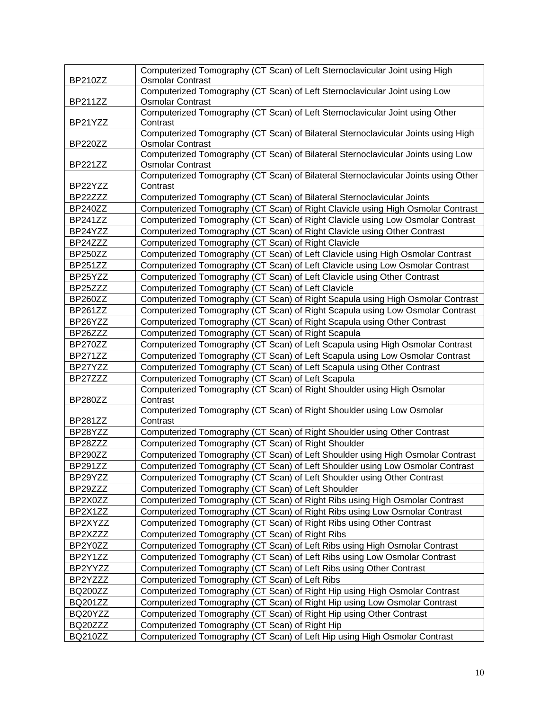|                | Computerized Tomography (CT Scan) of Left Sternoclavicular Joint using High                           |
|----------------|-------------------------------------------------------------------------------------------------------|
| <b>BP210ZZ</b> | <b>Osmolar Contrast</b>                                                                               |
| <b>BP211ZZ</b> | Computerized Tomography (CT Scan) of Left Sternoclavicular Joint using Low<br><b>Osmolar Contrast</b> |
|                | Computerized Tomography (CT Scan) of Left Sternoclavicular Joint using Other                          |
| BP21YZZ        | Contrast                                                                                              |
|                | Computerized Tomography (CT Scan) of Bilateral Sternoclavicular Joints using High                     |
| <b>BP220ZZ</b> | <b>Osmolar Contrast</b>                                                                               |
|                | Computerized Tomography (CT Scan) of Bilateral Sternoclavicular Joints using Low                      |
| <b>BP221ZZ</b> | <b>Osmolar Contrast</b>                                                                               |
| BP22YZZ        | Computerized Tomography (CT Scan) of Bilateral Sternoclavicular Joints using Other<br>Contrast        |
| BP22ZZZ        | Computerized Tomography (CT Scan) of Bilateral Sternoclavicular Joints                                |
| <b>BP240ZZ</b> | Computerized Tomography (CT Scan) of Right Clavicle using High Osmolar Contrast                       |
| <b>BP241ZZ</b> | Computerized Tomography (CT Scan) of Right Clavicle using Low Osmolar Contrast                        |
| BP24YZZ        | Computerized Tomography (CT Scan) of Right Clavicle using Other Contrast                              |
| BP24ZZZ        | Computerized Tomography (CT Scan) of Right Clavicle                                                   |
| BP250ZZ        | Computerized Tomography (CT Scan) of Left Clavicle using High Osmolar Contrast                        |
| <b>BP251ZZ</b> | Computerized Tomography (CT Scan) of Left Clavicle using Low Osmolar Contrast                         |
| BP25YZZ        | Computerized Tomography (CT Scan) of Left Clavicle using Other Contrast                               |
| BP25ZZZ        | Computerized Tomography (CT Scan) of Left Clavicle                                                    |
| BP260ZZ        | Computerized Tomography (CT Scan) of Right Scapula using High Osmolar Contrast                        |
| <b>BP261ZZ</b> | Computerized Tomography (CT Scan) of Right Scapula using Low Osmolar Contrast                         |
| BP26YZZ        | Computerized Tomography (CT Scan) of Right Scapula using Other Contrast                               |
| BP26ZZZ        | Computerized Tomography (CT Scan) of Right Scapula                                                    |
| BP270ZZ        | Computerized Tomography (CT Scan) of Left Scapula using High Osmolar Contrast                         |
| <b>BP271ZZ</b> | Computerized Tomography (CT Scan) of Left Scapula using Low Osmolar Contrast                          |
| BP27YZZ        | Computerized Tomography (CT Scan) of Left Scapula using Other Contrast                                |
| BP27ZZZ        | Computerized Tomography (CT Scan) of Left Scapula                                                     |
| BP280ZZ        | Computerized Tomography (CT Scan) of Right Shoulder using High Osmolar<br>Contrast                    |
|                | Computerized Tomography (CT Scan) of Right Shoulder using Low Osmolar                                 |
| BP281ZZ        | Contrast                                                                                              |
| BP28YZZ        | Computerized Tomography (CT Scan) of Right Shoulder using Other Contrast                              |
| BP28ZZZ        | Computerized Tomography (CT Scan) of Right Shoulder                                                   |
| <b>BP290ZZ</b> | Computerized Tomography (CT Scan) of Left Shoulder using High Osmolar Contrast                        |
| BP291ZZ        | Computerized Tomography (CT Scan) of Left Shoulder using Low Osmolar Contrast                         |
| BP29YZZ        | Computerized Tomography (CT Scan) of Left Shoulder using Other Contrast                               |
| BP29ZZZ        | Computerized Tomography (CT Scan) of Left Shoulder                                                    |
| BP2X0ZZ        | Computerized Tomography (CT Scan) of Right Ribs using High Osmolar Contrast                           |
| BP2X1ZZ        | Computerized Tomography (CT Scan) of Right Ribs using Low Osmolar Contrast                            |
| BP2XYZZ        | Computerized Tomography (CT Scan) of Right Ribs using Other Contrast                                  |
| BP2XZZZ        | Computerized Tomography (CT Scan) of Right Ribs                                                       |
| BP2Y0ZZ        | Computerized Tomography (CT Scan) of Left Ribs using High Osmolar Contrast                            |
| BP2Y1ZZ        | Computerized Tomography (CT Scan) of Left Ribs using Low Osmolar Contrast                             |
| BP2YYZZ        | Computerized Tomography (CT Scan) of Left Ribs using Other Contrast                                   |
| BP2YZZZ        | Computerized Tomography (CT Scan) of Left Ribs                                                        |
| <b>BQ200ZZ</b> | Computerized Tomography (CT Scan) of Right Hip using High Osmolar Contrast                            |
| <b>BQ201ZZ</b> | Computerized Tomography (CT Scan) of Right Hip using Low Osmolar Contrast                             |
| BQ20YZZ        | Computerized Tomography (CT Scan) of Right Hip using Other Contrast                                   |
| BQ20ZZZ        | Computerized Tomography (CT Scan) of Right Hip                                                        |
| <b>BQ210ZZ</b> | Computerized Tomography (CT Scan) of Left Hip using High Osmolar Contrast                             |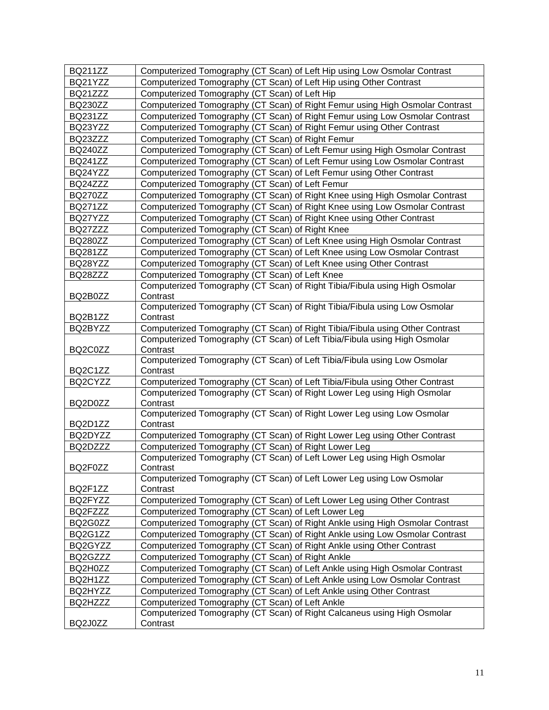| <b>BQ211ZZ</b> | Computerized Tomography (CT Scan) of Left Hip using Low Osmolar Contrast                                                                                  |
|----------------|-----------------------------------------------------------------------------------------------------------------------------------------------------------|
| BQ21YZZ        | Computerized Tomography (CT Scan) of Left Hip using Other Contrast                                                                                        |
| BQ21ZZZ        | Computerized Tomography (CT Scan) of Left Hip                                                                                                             |
| <b>BQ230ZZ</b> | Computerized Tomography (CT Scan) of Right Femur using High Osmolar Contrast                                                                              |
| <b>BQ231ZZ</b> | Computerized Tomography (CT Scan) of Right Femur using Low Osmolar Contrast                                                                               |
| BQ23YZZ        | Computerized Tomography (CT Scan) of Right Femur using Other Contrast                                                                                     |
| BQ23ZZZ        | Computerized Tomography (CT Scan) of Right Femur                                                                                                          |
| <b>BQ240ZZ</b> | Computerized Tomography (CT Scan) of Left Femur using High Osmolar Contrast                                                                               |
| <b>BQ241ZZ</b> | Computerized Tomography (CT Scan) of Left Femur using Low Osmolar Contrast                                                                                |
| BQ24YZZ        | Computerized Tomography (CT Scan) of Left Femur using Other Contrast                                                                                      |
| BQ24ZZZ        | Computerized Tomography (CT Scan) of Left Femur                                                                                                           |
| <b>BQ270ZZ</b> | Computerized Tomography (CT Scan) of Right Knee using High Osmolar Contrast                                                                               |
| <b>BQ271ZZ</b> | Computerized Tomography (CT Scan) of Right Knee using Low Osmolar Contrast                                                                                |
| BQ27YZZ        | Computerized Tomography (CT Scan) of Right Knee using Other Contrast                                                                                      |
| BQ27ZZZ        | Computerized Tomography (CT Scan) of Right Knee                                                                                                           |
| <b>BQ280ZZ</b> | Computerized Tomography (CT Scan) of Left Knee using High Osmolar Contrast                                                                                |
| <b>BQ281ZZ</b> | Computerized Tomography (CT Scan) of Left Knee using Low Osmolar Contrast                                                                                 |
| BQ28YZZ        | Computerized Tomography (CT Scan) of Left Knee using Other Contrast                                                                                       |
| BQ28ZZZ        | Computerized Tomography (CT Scan) of Left Knee                                                                                                            |
|                | Computerized Tomography (CT Scan) of Right Tibia/Fibula using High Osmolar                                                                                |
| BQ2B0ZZ        | Contrast                                                                                                                                                  |
|                | Computerized Tomography (CT Scan) of Right Tibia/Fibula using Low Osmolar                                                                                 |
| BQ2B1ZZ        | Contrast                                                                                                                                                  |
| BQ2BYZZ        | Computerized Tomography (CT Scan) of Right Tibia/Fibula using Other Contrast<br>Computerized Tomography (CT Scan) of Left Tibia/Fibula using High Osmolar |
| BQ2C0ZZ        | Contrast                                                                                                                                                  |
|                | Computerized Tomography (CT Scan) of Left Tibia/Fibula using Low Osmolar                                                                                  |
| BQ2C1ZZ        | Contrast                                                                                                                                                  |
| BQ2CYZZ        | Computerized Tomography (CT Scan) of Left Tibia/Fibula using Other Contrast                                                                               |
|                | Computerized Tomography (CT Scan) of Right Lower Leg using High Osmolar                                                                                   |
| BQ2D0ZZ        | Contrast                                                                                                                                                  |
|                | Computerized Tomography (CT Scan) of Right Lower Leg using Low Osmolar                                                                                    |
| BQ2D1ZZ        | Contrast                                                                                                                                                  |
| BQ2DYZZ        | Computerized Tomography (CT Scan) of Right Lower Leg using Other Contrast                                                                                 |
| BQ2DZZZ        | Computerized Tomography (CT Scan) of Right Lower Leg                                                                                                      |
|                | Computerized Tomography (CT Scan) of Left Lower Leg using High Osmolar                                                                                    |
| BQ2F0ZZ        | Contrast                                                                                                                                                  |
| BQ2F1ZZ        | Computerized Tomography (CT Scan) of Left Lower Leg using Low Osmolar<br>Contrast                                                                         |
| BQ2FYZZ        | Computerized Tomography (CT Scan) of Left Lower Leg using Other Contrast                                                                                  |
| BQ2FZZZ        | Computerized Tomography (CT Scan) of Left Lower Leg                                                                                                       |
| BQ2G0ZZ        | Computerized Tomography (CT Scan) of Right Ankle using High Osmolar Contrast                                                                              |
| BQ2G1ZZ        | Computerized Tomography (CT Scan) of Right Ankle using Low Osmolar Contrast                                                                               |
| BQ2GYZZ        | Computerized Tomography (CT Scan) of Right Ankle using Other Contrast                                                                                     |
| BQ2GZZZ        | Computerized Tomography (CT Scan) of Right Ankle                                                                                                          |
| BQ2H0ZZ        | Computerized Tomography (CT Scan) of Left Ankle using High Osmolar Contrast                                                                               |
| BQ2H1ZZ        | Computerized Tomography (CT Scan) of Left Ankle using Low Osmolar Contrast                                                                                |
| BQ2HYZZ        | Computerized Tomography (CT Scan) of Left Ankle using Other Contrast                                                                                      |
| BQ2HZZZ        | Computerized Tomography (CT Scan) of Left Ankle                                                                                                           |
|                | Computerized Tomography (CT Scan) of Right Calcaneus using High Osmolar                                                                                   |
| BQ2J0ZZ        | Contrast                                                                                                                                                  |
|                |                                                                                                                                                           |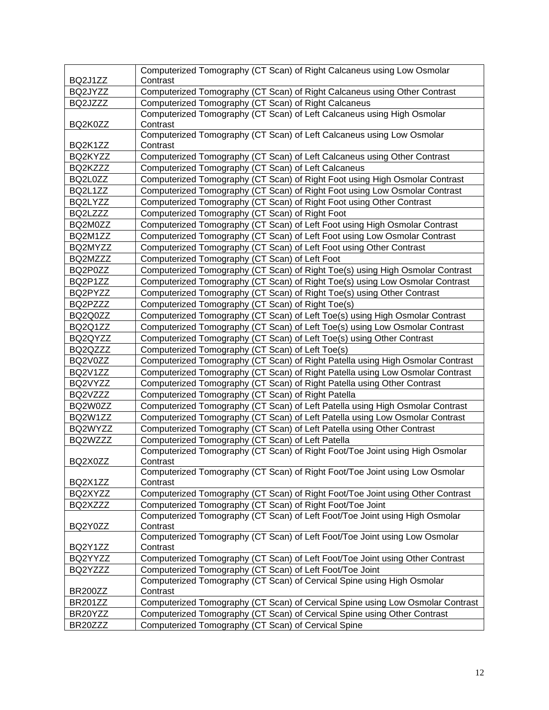|                | Computerized Tomography (CT Scan) of Right Calcaneus using Low Osmolar                                                         |
|----------------|--------------------------------------------------------------------------------------------------------------------------------|
| BQ2J1ZZ        | Contrast                                                                                                                       |
| BQ2JYZZ        | Computerized Tomography (CT Scan) of Right Calcaneus using Other Contrast                                                      |
| BQ2JZZZ        | Computerized Tomography (CT Scan) of Right Calcaneus<br>Computerized Tomography (CT Scan) of Left Calcaneus using High Osmolar |
| BQ2K0ZZ        | Contrast                                                                                                                       |
|                | Computerized Tomography (CT Scan) of Left Calcaneus using Low Osmolar                                                          |
| BQ2K1ZZ        | Contrast                                                                                                                       |
| BQ2KYZZ        | Computerized Tomography (CT Scan) of Left Calcaneus using Other Contrast                                                       |
| BQ2KZZZ        | Computerized Tomography (CT Scan) of Left Calcaneus                                                                            |
| BQ2L0ZZ        | Computerized Tomography (CT Scan) of Right Foot using High Osmolar Contrast                                                    |
| BQ2L1ZZ        | Computerized Tomography (CT Scan) of Right Foot using Low Osmolar Contrast                                                     |
| BQ2LYZZ        | Computerized Tomography (CT Scan) of Right Foot using Other Contrast                                                           |
| BQ2LZZZ        | Computerized Tomography (CT Scan) of Right Foot                                                                                |
| BQ2M0ZZ        | Computerized Tomography (CT Scan) of Left Foot using High Osmolar Contrast                                                     |
| BQ2M1ZZ        | Computerized Tomography (CT Scan) of Left Foot using Low Osmolar Contrast                                                      |
| BQ2MYZZ        | Computerized Tomography (CT Scan) of Left Foot using Other Contrast                                                            |
| BQ2MZZZ        | Computerized Tomography (CT Scan) of Left Foot                                                                                 |
| BQ2P0ZZ        | Computerized Tomography (CT Scan) of Right Toe(s) using High Osmolar Contrast                                                  |
| BQ2P1ZZ        | Computerized Tomography (CT Scan) of Right Toe(s) using Low Osmolar Contrast                                                   |
| BQ2PYZZ        | Computerized Tomography (CT Scan) of Right Toe(s) using Other Contrast                                                         |
| BQ2PZZZ        | Computerized Tomography (CT Scan) of Right Toe(s)                                                                              |
| BQ2Q0ZZ        | Computerized Tomography (CT Scan) of Left Toe(s) using High Osmolar Contrast                                                   |
| BQ2Q1ZZ        | Computerized Tomography (CT Scan) of Left Toe(s) using Low Osmolar Contrast                                                    |
| BQ2QYZZ        | Computerized Tomography (CT Scan) of Left Toe(s) using Other Contrast                                                          |
| BQ2QZZZ        | Computerized Tomography (CT Scan) of Left Toe(s)                                                                               |
| BQ2V0ZZ        | Computerized Tomography (CT Scan) of Right Patella using High Osmolar Contrast                                                 |
| BQ2V1ZZ        | Computerized Tomography (CT Scan) of Right Patella using Low Osmolar Contrast                                                  |
| BQ2VYZZ        | Computerized Tomography (CT Scan) of Right Patella using Other Contrast                                                        |
| BQ2VZZZ        | Computerized Tomography (CT Scan) of Right Patella                                                                             |
| BQ2W0ZZ        | Computerized Tomography (CT Scan) of Left Patella using High Osmolar Contrast                                                  |
| BQ2W1ZZ        | Computerized Tomography (CT Scan) of Left Patella using Low Osmolar Contrast                                                   |
| BQ2WYZZ        | Computerized Tomography (CT Scan) of Left Patella using Other Contrast                                                         |
| BQ2WZZZ        | Computerized Tomography (CT Scan) of Left Patella                                                                              |
|                | Computerized Tomography (CT Scan) of Right Foot/Toe Joint using High Osmolar                                                   |
| BQ2X0ZZ        | Contrast                                                                                                                       |
|                | Computerized Tomography (CT Scan) of Right Foot/Toe Joint using Low Osmolar                                                    |
| BQ2X1ZZ        | Contrast                                                                                                                       |
| BQ2XYZZ        | Computerized Tomography (CT Scan) of Right Foot/Toe Joint using Other Contrast                                                 |
| BQ2XZZZ        | Computerized Tomography (CT Scan) of Right Foot/Toe Joint                                                                      |
|                | Computerized Tomography (CT Scan) of Left Foot/Toe Joint using High Osmolar                                                    |
| BQ2Y0ZZ        | Contrast                                                                                                                       |
|                | Computerized Tomography (CT Scan) of Left Foot/Toe Joint using Low Osmolar                                                     |
| BQ2Y1ZZ        | Contrast                                                                                                                       |
| BQ2YYZZ        | Computerized Tomography (CT Scan) of Left Foot/Toe Joint using Other Contrast                                                  |
| BQ2YZZZ        | Computerized Tomography (CT Scan) of Left Foot/Toe Joint                                                                       |
|                | Computerized Tomography (CT Scan) of Cervical Spine using High Osmolar                                                         |
| BR200ZZ        | Contrast                                                                                                                       |
| <b>BR201ZZ</b> | Computerized Tomography (CT Scan) of Cervical Spine using Low Osmolar Contrast                                                 |
| BR20YZZ        | Computerized Tomography (CT Scan) of Cervical Spine using Other Contrast                                                       |
| BR20ZZZ        | Computerized Tomography (CT Scan) of Cervical Spine                                                                            |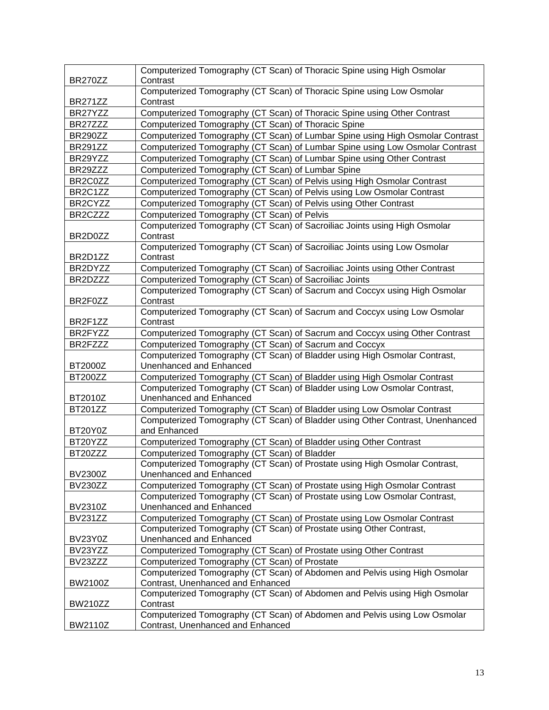| BR270ZZ        | Computerized Tomography (CT Scan) of Thoracic Spine using High Osmolar<br>Contrast                              |
|----------------|-----------------------------------------------------------------------------------------------------------------|
| <b>BR271ZZ</b> | Computerized Tomography (CT Scan) of Thoracic Spine using Low Osmolar<br>Contrast                               |
| BR27YZZ        | Computerized Tomography (CT Scan) of Thoracic Spine using Other Contrast                                        |
| BR27ZZZ        | Computerized Tomography (CT Scan) of Thoracic Spine                                                             |
| <b>BR290ZZ</b> | Computerized Tomography (CT Scan) of Lumbar Spine using High Osmolar Contrast                                   |
| <b>BR291ZZ</b> | Computerized Tomography (CT Scan) of Lumbar Spine using Low Osmolar Contrast                                    |
| BR29YZZ        | Computerized Tomography (CT Scan) of Lumbar Spine using Other Contrast                                          |
| BR29ZZZ        | Computerized Tomography (CT Scan) of Lumbar Spine                                                               |
| BR2C0ZZ        | Computerized Tomography (CT Scan) of Pelvis using High Osmolar Contrast                                         |
| BR2C1ZZ        | Computerized Tomography (CT Scan) of Pelvis using Low Osmolar Contrast                                          |
| BR2CYZZ        | Computerized Tomography (CT Scan) of Pelvis using Other Contrast                                                |
| BR2CZZZ        | Computerized Tomography (CT Scan) of Pelvis                                                                     |
|                | Computerized Tomography (CT Scan) of Sacroiliac Joints using High Osmolar                                       |
| BR2D0ZZ        | Contrast                                                                                                        |
|                | Computerized Tomography (CT Scan) of Sacroiliac Joints using Low Osmolar                                        |
| BR2D1ZZ        | Contrast                                                                                                        |
| BR2DYZZ        | Computerized Tomography (CT Scan) of Sacroiliac Joints using Other Contrast                                     |
| BR2DZZZ        | Computerized Tomography (CT Scan) of Sacroiliac Joints                                                          |
| BR2F0ZZ        | Computerized Tomography (CT Scan) of Sacrum and Coccyx using High Osmolar<br>Contrast                           |
| BR2F1ZZ        | Computerized Tomography (CT Scan) of Sacrum and Coccyx using Low Osmolar<br>Contrast                            |
| BR2FYZZ        | Computerized Tomography (CT Scan) of Sacrum and Coccyx using Other Contrast                                     |
| BR2FZZZ        | Computerized Tomography (CT Scan) of Sacrum and Coccyx                                                          |
| BT2000Z        | Computerized Tomography (CT Scan) of Bladder using High Osmolar Contrast,<br>Unenhanced and Enhanced            |
| <b>BT200ZZ</b> | Computerized Tomography (CT Scan) of Bladder using High Osmolar Contrast                                        |
|                | Computerized Tomography (CT Scan) of Bladder using Low Osmolar Contrast,                                        |
| BT2010Z        | Unenhanced and Enhanced                                                                                         |
| <b>BT201ZZ</b> | Computerized Tomography (CT Scan) of Bladder using Low Osmolar Contrast                                         |
| BT20Y0Z        | Computerized Tomography (CT Scan) of Bladder using Other Contrast, Unenhanced<br>and Enhanced                   |
| BT20YZZ        | Computerized Tomography (CT Scan) of Bladder using Other Contrast                                               |
| BT20ZZZ        | Computerized Tomography (CT Scan) of Bladder                                                                    |
| BV2300Z        | Computerized Tomography (CT Scan) of Prostate using High Osmolar Contrast,<br>Unenhanced and Enhanced           |
| <b>BV230ZZ</b> | Computerized Tomography (CT Scan) of Prostate using High Osmolar Contrast                                       |
|                | Computerized Tomography (CT Scan) of Prostate using Low Osmolar Contrast,                                       |
| <b>BV2310Z</b> | Unenhanced and Enhanced                                                                                         |
| <b>BV231ZZ</b> | Computerized Tomography (CT Scan) of Prostate using Low Osmolar Contrast                                        |
| BV23Y0Z        | Computerized Tomography (CT Scan) of Prostate using Other Contrast,<br>Unenhanced and Enhanced                  |
| BV23YZZ        | Computerized Tomography (CT Scan) of Prostate using Other Contrast                                              |
| BV23ZZZ        | Computerized Tomography (CT Scan) of Prostate                                                                   |
| BW2100Z        | Computerized Tomography (CT Scan) of Abdomen and Pelvis using High Osmolar<br>Contrast, Unenhanced and Enhanced |
| <b>BW210ZZ</b> | Computerized Tomography (CT Scan) of Abdomen and Pelvis using High Osmolar<br>Contrast                          |
| <b>BW2110Z</b> | Computerized Tomography (CT Scan) of Abdomen and Pelvis using Low Osmolar<br>Contrast, Unenhanced and Enhanced  |